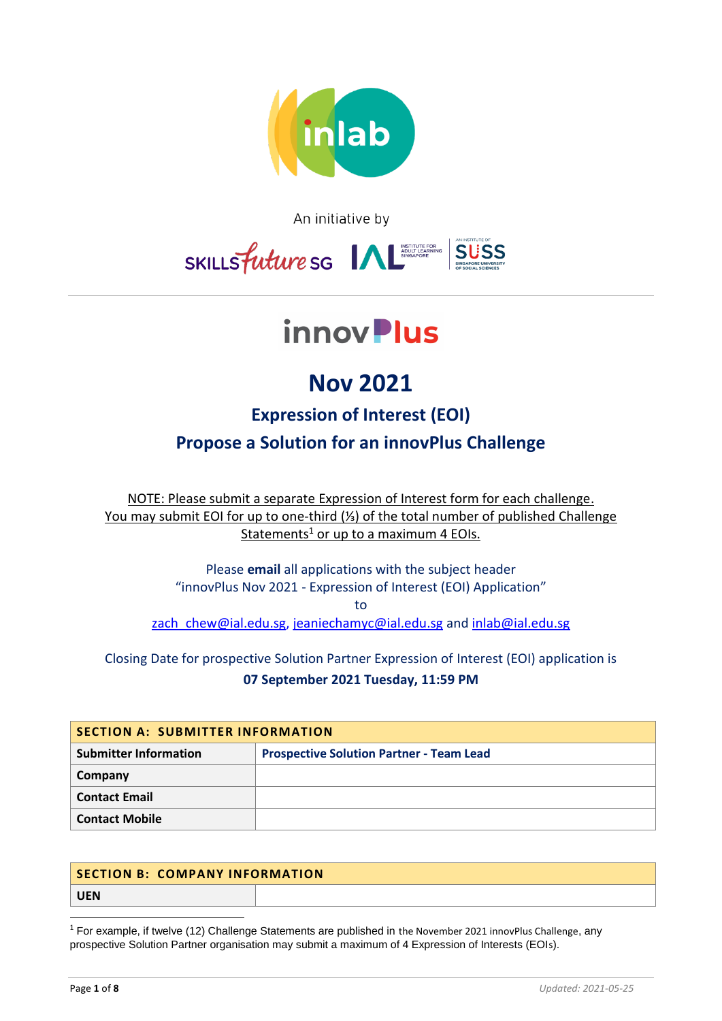

An initiative by



# innov**Plus**

## **Nov 2021**

### **Expression of Interest (EOI) Propose a Solution for an innovPlus Challenge**

NOTE: Please submit a separate Expression of Interest form for each challenge. You may submit EOI for up to one-third (⅓) of the total number of published Challenge Statements<sup>1</sup> or up to a maximum 4 EOIs.

> Please **email** all applications with the subject header "innovPlus Nov 2021 - Expression of Interest (EOI) Application"

> > to

zach chew@ial.edu.sg, [jeaniechamyc@ial.edu.sg](mailto:jeaniechamyc@ial.edu.sg) and [inlab@ial.edu.sg](mailto:inlab@ial.edu.sg)

### Closing Date for prospective Solution Partner Expression of Interest (EOI) application is **07 September 2021 Tuesday, 11:59 PM**

| SECTION A: SUBMITTER INFORMATION |                                                 |  |
|----------------------------------|-------------------------------------------------|--|
| <b>Submitter Information</b>     | <b>Prospective Solution Partner - Team Lead</b> |  |
| Company                          |                                                 |  |
| <b>Contact Email</b>             |                                                 |  |
| <b>Contact Mobile</b>            |                                                 |  |

| <b>SECTION B: COMPANY INFORMATION</b> |  |
|---------------------------------------|--|
| <b>UEN</b>                            |  |

<sup>1</sup> For example, if twelve (12) Challenge Statements are published in the November 2021 innovPlus Challenge, any prospective Solution Partner organisation may submit a maximum of 4 Expression of Interests (EOIs).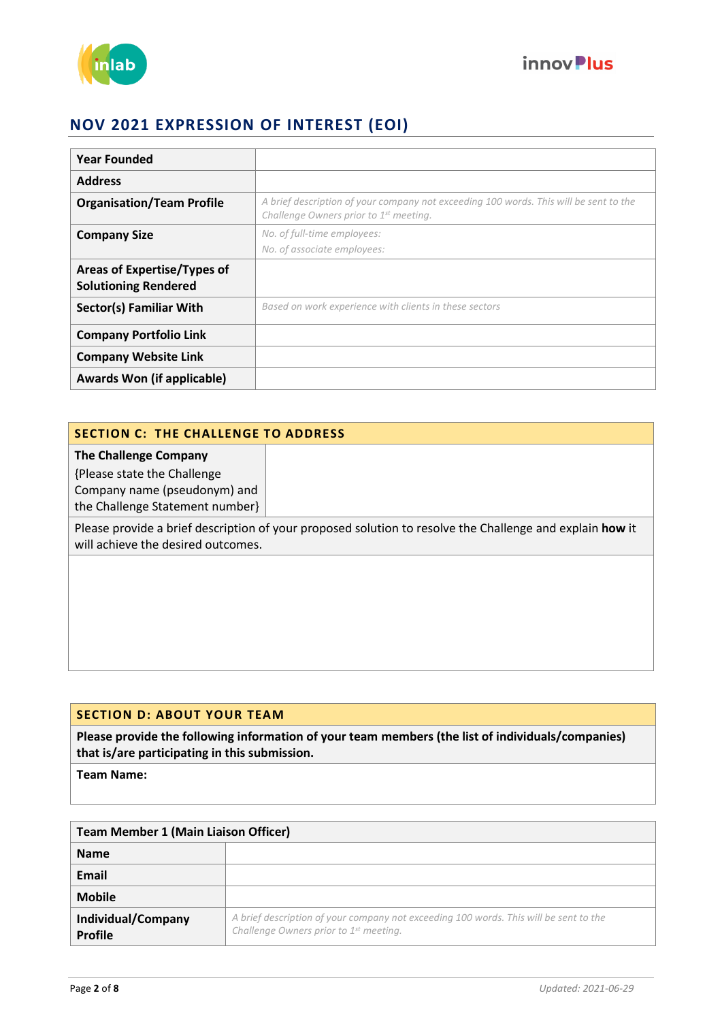



| <b>Year Founded</b>                                        |                                                                                                                                 |
|------------------------------------------------------------|---------------------------------------------------------------------------------------------------------------------------------|
| <b>Address</b>                                             |                                                                                                                                 |
| <b>Organisation/Team Profile</b>                           | A brief description of your company not exceeding 100 words. This will be sent to the<br>Challenge Owners prior to 1st meeting. |
| <b>Company Size</b>                                        | No. of full-time employees:<br>No. of associate employees:                                                                      |
| Areas of Expertise/Types of<br><b>Solutioning Rendered</b> |                                                                                                                                 |
| Sector(s) Familiar With                                    | Based on work experience with clients in these sectors                                                                          |
| <b>Company Portfolio Link</b>                              |                                                                                                                                 |
| <b>Company Website Link</b>                                |                                                                                                                                 |
| <b>Awards Won (if applicable)</b>                          |                                                                                                                                 |

#### **SECTION C: THE CHALLENGE TO ADDRESS**

**The Challenge Company**

{Please state the Challenge Company name (pseudonym) and the Challenge Statement number}

Please provide a brief description of your proposed solution to resolve the Challenge and explain **how** it will achieve the desired outcomes.

#### **SECTION D: ABOUT YOUR TEAM**

**Please provide the following information of your team members (the list of individuals/companies) that is/are participating in this submission.**

**Team Name:**

| <b>Team Member 1 (Main Liaison Officer)</b> |                                                                                                                                             |  |
|---------------------------------------------|---------------------------------------------------------------------------------------------------------------------------------------------|--|
| <b>Name</b>                                 |                                                                                                                                             |  |
| Email                                       |                                                                                                                                             |  |
| <b>Mobile</b>                               |                                                                                                                                             |  |
| Individual/Company<br><b>Profile</b>        | A brief description of your company not exceeding 100 words. This will be sent to the<br>Challenge Owners prior to 1 <sup>st</sup> meeting. |  |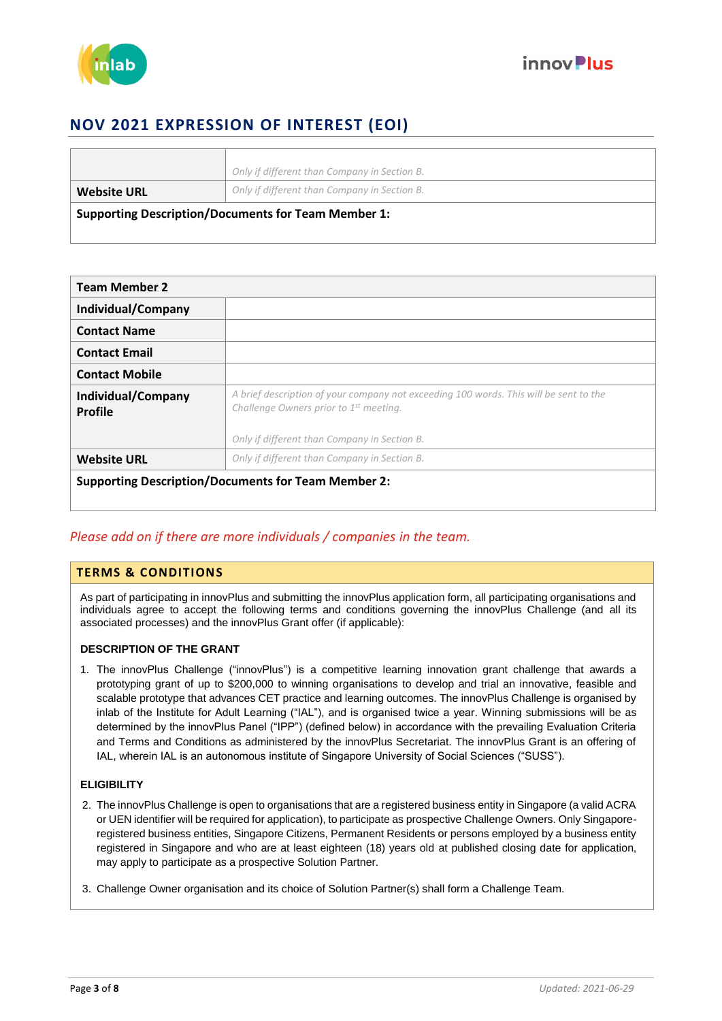



| <b>Supporting Description/Documents for Team Member 1:</b> |                                              |
|------------------------------------------------------------|----------------------------------------------|
| <b>Website URL</b>                                         | Only if different than Company in Section B. |
|                                                            | Only if different than Company in Section B. |

| <b>Team Member 2</b>          |                                                                                                                                             |
|-------------------------------|---------------------------------------------------------------------------------------------------------------------------------------------|
| Individual/Company            |                                                                                                                                             |
| <b>Contact Name</b>           |                                                                                                                                             |
| <b>Contact Email</b>          |                                                                                                                                             |
| <b>Contact Mobile</b>         |                                                                                                                                             |
| Individual/Company<br>Profile | A brief description of your company not exceeding 100 words. This will be sent to the<br>Challenge Owners prior to 1 <sup>st</sup> meeting. |
|                               | Only if different than Company in Section B.                                                                                                |
| <b>Website URL</b>            | Only if different than Company in Section B.                                                                                                |
|                               | <b>Supporting Description/Documents for Team Member 2:</b>                                                                                  |

#### *Please add on if there are more individuals / companies in the team.*

#### **TERMS & CONDITIONS**

As part of participating in innovPlus and submitting the innovPlus application form, all participating organisations and individuals agree to accept the following terms and conditions governing the innovPlus Challenge (and all its associated processes) and the innovPlus Grant offer (if applicable):

#### **DESCRIPTION OF THE GRANT**

1. The innovPlus Challenge ("innovPlus") is a competitive learning innovation grant challenge that awards a prototyping grant of up to \$200,000 to winning organisations to develop and trial an innovative, feasible and scalable prototype that advances CET practice and learning outcomes. The innovPlus Challenge is organised by inlab of the Institute for Adult Learning ("IAL"), and is organised twice a year. Winning submissions will be as determined by the innovPlus Panel ("IPP") (defined below) in accordance with the prevailing Evaluation Criteria and Terms and Conditions as administered by the innovPlus Secretariat. The innovPlus Grant is an offering of IAL, wherein IAL is an autonomous institute of Singapore University of Social Sciences ("SUSS").

#### **ELIGIBILITY**

- 2. The innovPlus Challenge is open to organisations that are a registered business entity in Singapore (a valid ACRA or UEN identifier will be required for application), to participate as prospective Challenge Owners. Only Singaporeregistered business entities, Singapore Citizens, Permanent Residents or persons employed by a business entity registered in Singapore and who are at least eighteen (18) years old at published closing date for application, may apply to participate as a prospective Solution Partner.
- 3. Challenge Owner organisation and its choice of Solution Partner(s) shall form a Challenge Team.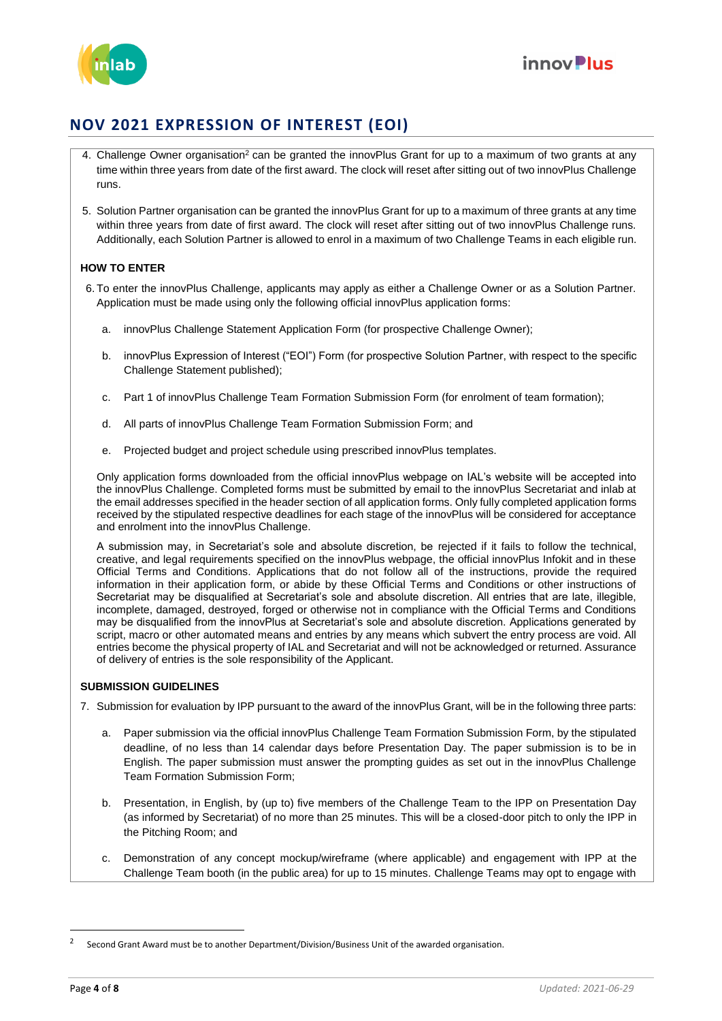



- 4. Challenge Owner organisation<sup>2</sup> can be granted the innovPlus Grant for up to a maximum of two grants at any time within three years from date of the first award. The clock will reset after sitting out of two innovPlus Challenge runs.
- 5. Solution Partner organisation can be granted the innovPlus Grant for up to a maximum of three grants at any time within three years from date of first award. The clock will reset after sitting out of two innovPlus Challenge runs. Additionally, each Solution Partner is allowed to enrol in a maximum of two Challenge Teams in each eligible run.

#### **HOW TO ENTER**

- 6. To enter the innovPlus Challenge, applicants may apply as either a Challenge Owner or as a Solution Partner. Application must be made using only the following official innovPlus application forms:
	- a. innovPlus Challenge Statement Application Form (for prospective Challenge Owner);
	- b. innovPlus Expression of Interest ("EOI") Form (for prospective Solution Partner, with respect to the specific Challenge Statement published);
	- c. Part 1 of innovPlus Challenge Team Formation Submission Form (for enrolment of team formation);
	- d. All parts of innovPlus Challenge Team Formation Submission Form; and
	- e. Projected budget and project schedule using prescribed innovPlus templates.

Only application forms downloaded from the official innovPlus webpage on IAL's website will be accepted into the innovPlus Challenge. Completed forms must be submitted by email to the innovPlus Secretariat and inlab at the email addresses specified in the header section of all application forms. Only fully completed application forms received by the stipulated respective deadlines for each stage of the innovPlus will be considered for acceptance and enrolment into the innovPlus Challenge.

A submission may, in Secretariat's sole and absolute discretion, be rejected if it fails to follow the technical, creative, and legal requirements specified on the innovPlus webpage, the official innovPlus Infokit and in these Official Terms and Conditions. Applications that do not follow all of the instructions, provide the required information in their application form, or abide by these Official Terms and Conditions or other instructions of Secretariat may be disqualified at Secretariat's sole and absolute discretion. All entries that are late, illegible, incomplete, damaged, destroyed, forged or otherwise not in compliance with the Official Terms and Conditions may be disqualified from the innovPlus at Secretariat's sole and absolute discretion. Applications generated by script, macro or other automated means and entries by any means which subvert the entry process are void. All entries become the physical property of IAL and Secretariat and will not be acknowledged or returned. Assurance of delivery of entries is the sole responsibility of the Applicant.

#### **SUBMISSION GUIDELINES**

7. Submission for evaluation by IPP pursuant to the award of the innovPlus Grant, will be in the following three parts:

- a. Paper submission via the official innovPlus Challenge Team Formation Submission Form, by the stipulated deadline, of no less than 14 calendar days before Presentation Day. The paper submission is to be in English. The paper submission must answer the prompting guides as set out in the innovPlus Challenge Team Formation Submission Form;
- b. Presentation, in English, by (up to) five members of the Challenge Team to the IPP on Presentation Day (as informed by Secretariat) of no more than 25 minutes. This will be a closed-door pitch to only the IPP in the Pitching Room; and
- c. Demonstration of any concept mockup/wireframe (where applicable) and engagement with IPP at the Challenge Team booth (in the public area) for up to 15 minutes. Challenge Teams may opt to engage with

 $\overline{a}$ 

<sup>2</sup> Second Grant Award must be to another Department/Division/Business Unit of the awarded organisation.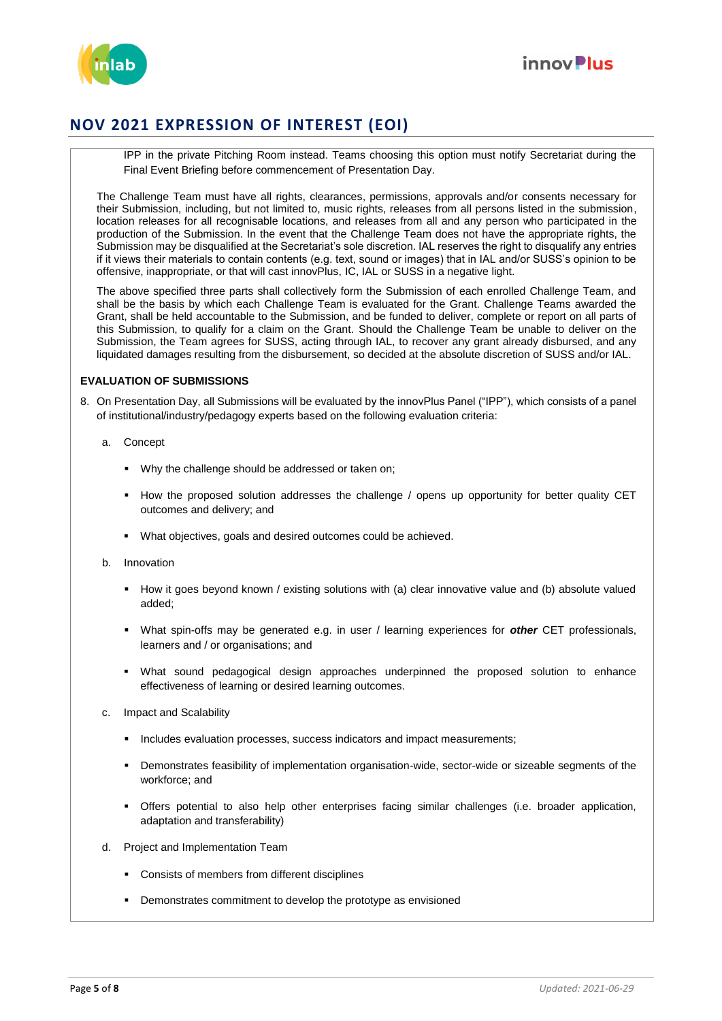



IPP in the private Pitching Room instead. Teams choosing this option must notify Secretariat during the Final Event Briefing before commencement of Presentation Day.

The Challenge Team must have all rights, clearances, permissions, approvals and/or consents necessary for their Submission, including, but not limited to, music rights, releases from all persons listed in the submission, location releases for all recognisable locations, and releases from all and any person who participated in the production of the Submission. In the event that the Challenge Team does not have the appropriate rights, the Submission may be disqualified at the Secretariat's sole discretion. IAL reserves the right to disqualify any entries if it views their materials to contain contents (e.g. text, sound or images) that in IAL and/or SUSS's opinion to be offensive, inappropriate, or that will cast innovPlus, IC, IAL or SUSS in a negative light.

The above specified three parts shall collectively form the Submission of each enrolled Challenge Team, and shall be the basis by which each Challenge Team is evaluated for the Grant. Challenge Teams awarded the Grant, shall be held accountable to the Submission, and be funded to deliver, complete or report on all parts of this Submission, to qualify for a claim on the Grant. Should the Challenge Team be unable to deliver on the Submission, the Team agrees for SUSS, acting through IAL, to recover any grant already disbursed, and any liquidated damages resulting from the disbursement, so decided at the absolute discretion of SUSS and/or IAL.

#### **EVALUATION OF SUBMISSIONS**

- 8. On Presentation Day, all Submissions will be evaluated by the innovPlus Panel ("IPP"), which consists of a panel of institutional/industry/pedagogy experts based on the following evaluation criteria:
	- a. Concept
		- Why the challenge should be addressed or taken on;
		- How the proposed solution addresses the challenge / opens up opportunity for better quality CET outcomes and delivery; and
		- What objectives, goals and desired outcomes could be achieved.
	- b. Innovation
		- How it goes beyond known / existing solutions with (a) clear innovative value and (b) absolute valued added;
		- What spin-offs may be generated e.g. in user / learning experiences for *other* CET professionals, learners and / or organisations; and
		- What sound pedagogical design approaches underpinned the proposed solution to enhance effectiveness of learning or desired learning outcomes.
	- c. Impact and Scalability
		- **Includes evaluation processes, success indicators and impact measurements;**
		- Demonstrates feasibility of implementation organisation-wide, sector-wide or sizeable segments of the workforce; and
		- Offers potential to also help other enterprises facing similar challenges (i.e. broader application, adaptation and transferability)
	- d. Project and Implementation Team
		- Consists of members from different disciplines
		- **•** Demonstrates commitment to develop the prototype as envisioned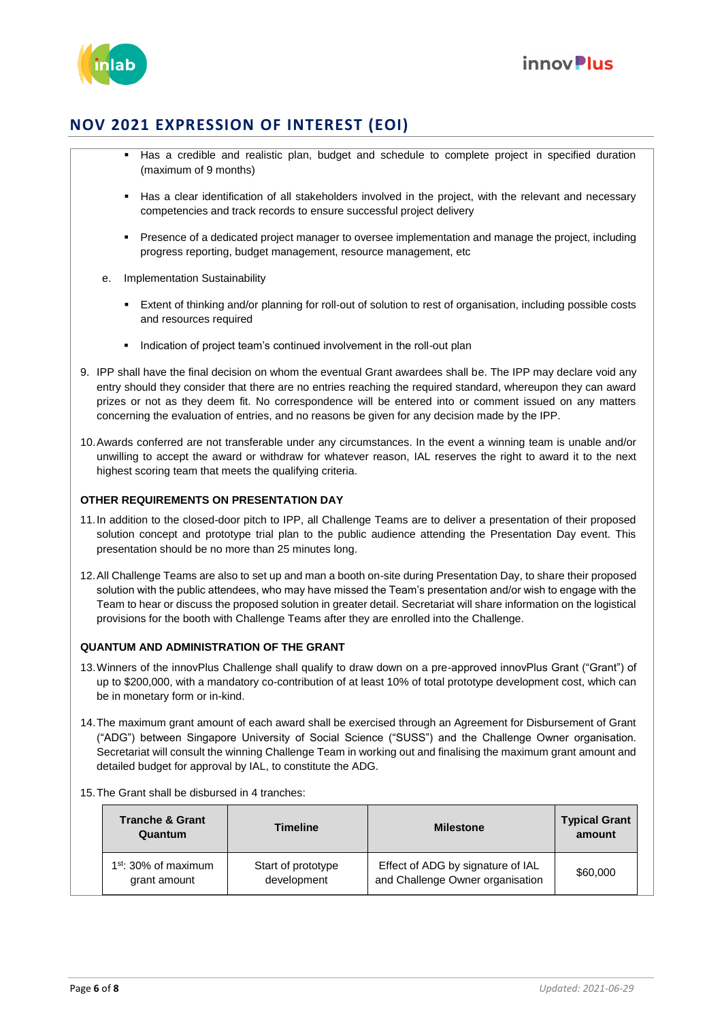



- Has a credible and realistic plan, budget and schedule to complete project in specified duration (maximum of 9 months)
- Has a clear identification of all stakeholders involved in the project, with the relevant and necessary competencies and track records to ensure successful project delivery
- Presence of a dedicated project manager to oversee implementation and manage the project, including progress reporting, budget management, resource management, etc
- e. Implementation Sustainability
	- Extent of thinking and/or planning for roll-out of solution to rest of organisation, including possible costs and resources required
	- **Indication of project team's continued involvement in the roll-out plan**
- 9. IPP shall have the final decision on whom the eventual Grant awardees shall be. The IPP may declare void any entry should they consider that there are no entries reaching the required standard, whereupon they can award prizes or not as they deem fit. No correspondence will be entered into or comment issued on any matters concerning the evaluation of entries, and no reasons be given for any decision made by the IPP.
- 10.Awards conferred are not transferable under any circumstances. In the event a winning team is unable and/or unwilling to accept the award or withdraw for whatever reason, IAL reserves the right to award it to the next highest scoring team that meets the qualifying criteria.

#### **OTHER REQUIREMENTS ON PRESENTATION DAY**

- 11.In addition to the closed-door pitch to IPP, all Challenge Teams are to deliver a presentation of their proposed solution concept and prototype trial plan to the public audience attending the Presentation Day event. This presentation should be no more than 25 minutes long.
- 12.All Challenge Teams are also to set up and man a booth on-site during Presentation Day, to share their proposed solution with the public attendees, who may have missed the Team's presentation and/or wish to engage with the Team to hear or discuss the proposed solution in greater detail. Secretariat will share information on the logistical provisions for the booth with Challenge Teams after they are enrolled into the Challenge.

#### **QUANTUM AND ADMINISTRATION OF THE GRANT**

- 13.Winners of the innovPlus Challenge shall qualify to draw down on a pre-approved innovPlus Grant ("Grant") of up to \$200,000, with a mandatory co-contribution of at least 10% of total prototype development cost, which can be in monetary form or in-kind.
- 14.The maximum grant amount of each award shall be exercised through an Agreement for Disbursement of Grant ("ADG") between Singapore University of Social Science ("SUSS") and the Challenge Owner organisation. Secretariat will consult the winning Challenge Team in working out and finalising the maximum grant amount and detailed budget for approval by IAL, to constitute the ADG.

#### 15.The Grant shall be disbursed in 4 tranches:

| <b>Tranche &amp; Grant</b><br>Quantum  | <b>Timeline</b>                   | <b>Milestone</b>                                                      | <b>Typical Grant</b><br>amount |  |
|----------------------------------------|-----------------------------------|-----------------------------------------------------------------------|--------------------------------|--|
| $1st$ : 30% of maximum<br>grant amount | Start of prototype<br>development | Effect of ADG by signature of IAL<br>and Challenge Owner organisation | \$60,000                       |  |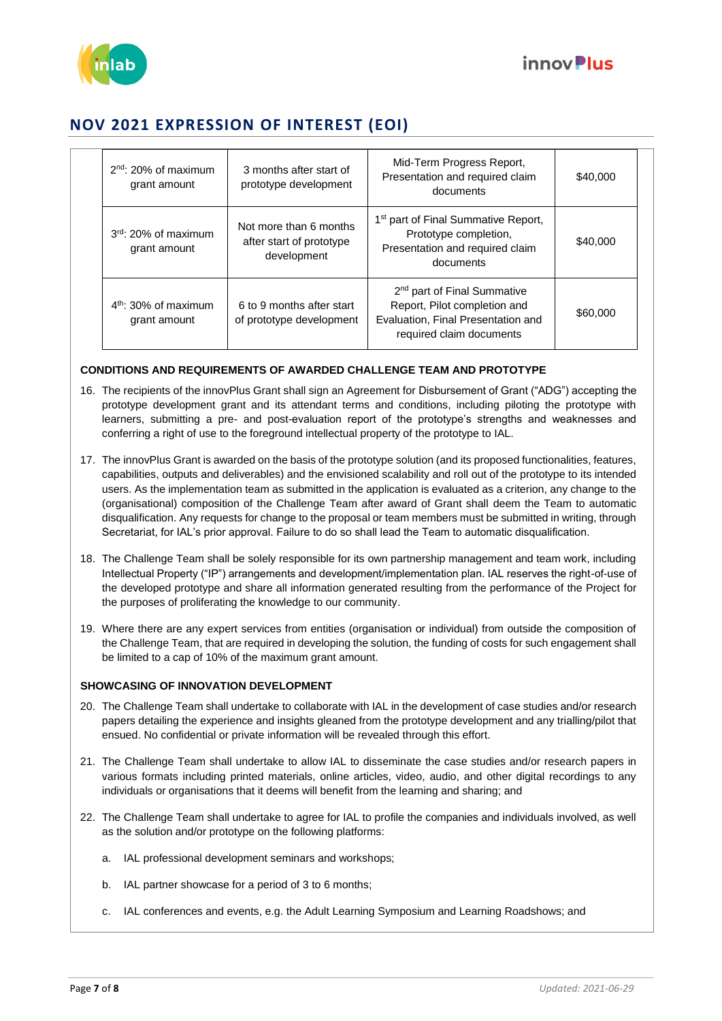



| $2nd$ : 20% of maximum<br>grant amount | 3 months after start of<br>prototype development                  | Mid-Term Progress Report,<br>Presentation and required claim<br>documents                                                                 | \$40,000 |
|----------------------------------------|-------------------------------------------------------------------|-------------------------------------------------------------------------------------------------------------------------------------------|----------|
| $3rd$ : 20% of maximum<br>grant amount | Not more than 6 months<br>after start of prototype<br>development | 1 <sup>st</sup> part of Final Summative Report,<br>Prototype completion,<br>Presentation and required claim<br>documents                  | \$40,000 |
| $4th$ : 30% of maximum<br>grant amount | 6 to 9 months after start<br>of prototype development             | 2 <sup>nd</sup> part of Final Summative<br>Report, Pilot completion and<br>Evaluation, Final Presentation and<br>required claim documents | \$60,000 |

#### **CONDITIONS AND REQUIREMENTS OF AWARDED CHALLENGE TEAM AND PROTOTYPE**

- 16. The recipients of the innovPlus Grant shall sign an Agreement for Disbursement of Grant ("ADG") accepting the prototype development grant and its attendant terms and conditions, including piloting the prototype with learners, submitting a pre- and post-evaluation report of the prototype's strengths and weaknesses and conferring a right of use to the foreground intellectual property of the prototype to IAL.
- 17. The innovPlus Grant is awarded on the basis of the prototype solution (and its proposed functionalities, features, capabilities, outputs and deliverables) and the envisioned scalability and roll out of the prototype to its intended users. As the implementation team as submitted in the application is evaluated as a criterion, any change to the (organisational) composition of the Challenge Team after award of Grant shall deem the Team to automatic disqualification. Any requests for change to the proposal or team members must be submitted in writing, through Secretariat, for IAL's prior approval. Failure to do so shall lead the Team to automatic disqualification.
- 18. The Challenge Team shall be solely responsible for its own partnership management and team work, including Intellectual Property ("IP") arrangements and development/implementation plan. IAL reserves the right-of-use of the developed prototype and share all information generated resulting from the performance of the Project for the purposes of proliferating the knowledge to our community.
- 19. Where there are any expert services from entities (organisation or individual) from outside the composition of the Challenge Team, that are required in developing the solution, the funding of costs for such engagement shall be limited to a cap of 10% of the maximum grant amount.

#### **SHOWCASING OF INNOVATION DEVELOPMENT**

- 20. The Challenge Team shall undertake to collaborate with IAL in the development of case studies and/or research papers detailing the experience and insights gleaned from the prototype development and any trialling/pilot that ensued. No confidential or private information will be revealed through this effort.
- 21. The Challenge Team shall undertake to allow IAL to disseminate the case studies and/or research papers in various formats including printed materials, online articles, video, audio, and other digital recordings to any individuals or organisations that it deems will benefit from the learning and sharing; and
- 22. The Challenge Team shall undertake to agree for IAL to profile the companies and individuals involved, as well as the solution and/or prototype on the following platforms:
	- a. IAL professional development seminars and workshops;
	- b. IAL partner showcase for a period of 3 to 6 months;
	- c. IAL conferences and events, e.g. the Adult Learning Symposium and Learning Roadshows; and